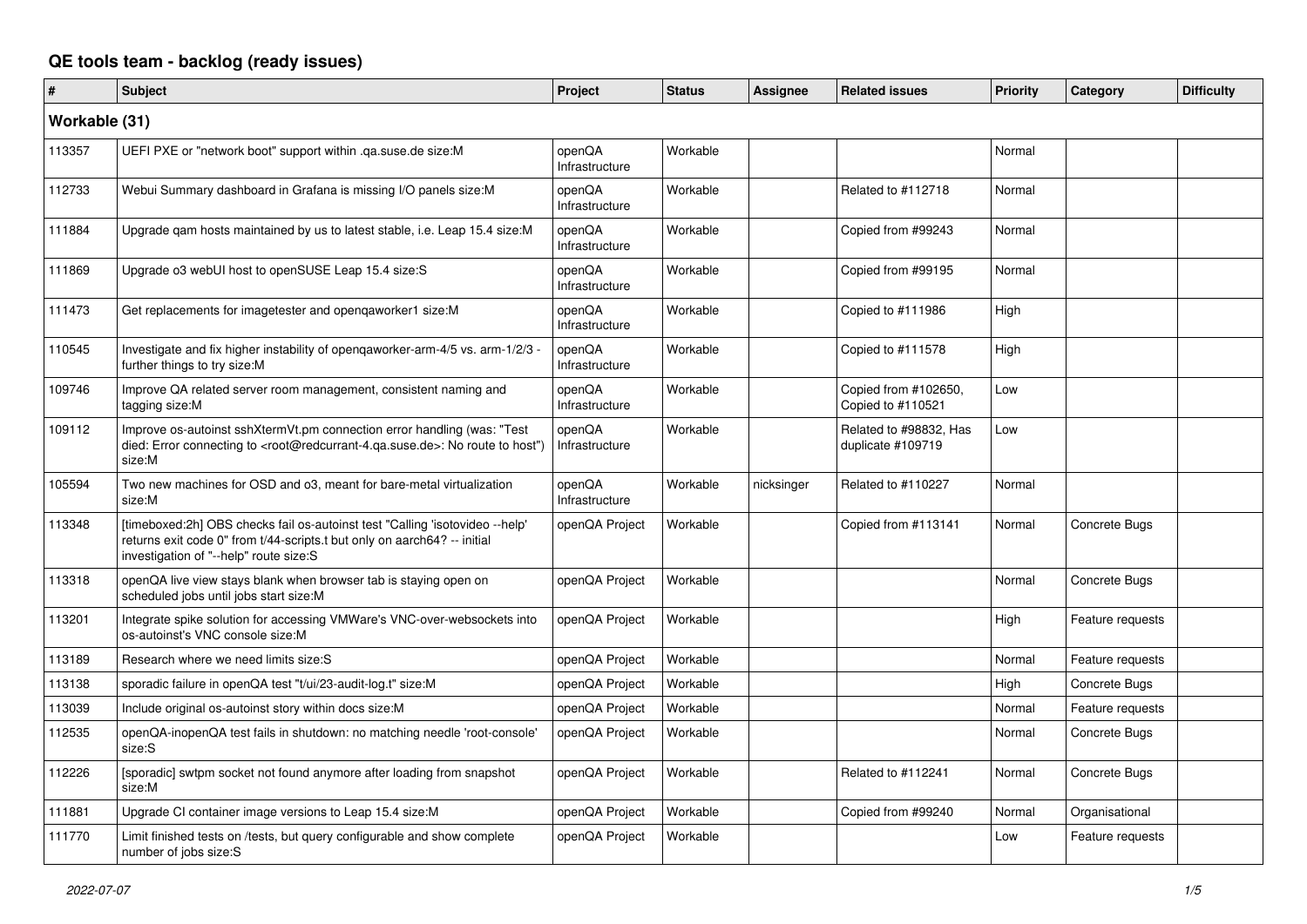## **QE tools team - backlog (ready issues)**

| #             | <b>Subject</b>                                                                                                                                                                                     | Project                  | <b>Status</b> | Assignee   | <b>Related issues</b>                       | <b>Priority</b> | Category         | <b>Difficulty</b> |
|---------------|----------------------------------------------------------------------------------------------------------------------------------------------------------------------------------------------------|--------------------------|---------------|------------|---------------------------------------------|-----------------|------------------|-------------------|
| Workable (31) |                                                                                                                                                                                                    |                          |               |            |                                             |                 |                  |                   |
| 113357        | UEFI PXE or "network boot" support within .qa.suse.de size:M                                                                                                                                       | openQA<br>Infrastructure | Workable      |            |                                             | Normal          |                  |                   |
| 112733        | Webui Summary dashboard in Grafana is missing I/O panels size:M                                                                                                                                    | openQA<br>Infrastructure | Workable      |            | Related to #112718                          | Normal          |                  |                   |
| 111884        | Upgrade gam hosts maintained by us to latest stable, i.e. Leap 15.4 size:M                                                                                                                         | openQA<br>Infrastructure | Workable      |            | Copied from #99243                          | Normal          |                  |                   |
| 111869        | Upgrade o3 webUI host to openSUSE Leap 15.4 size:S                                                                                                                                                 | openQA<br>Infrastructure | Workable      |            | Copied from #99195                          | Normal          |                  |                   |
| 111473        | Get replacements for imagetester and openqaworker1 size:M                                                                                                                                          | openQA<br>Infrastructure | Workable      |            | Copied to #111986                           | High            |                  |                   |
| 110545        | Investigate and fix higher instability of opengaworker-arm-4/5 vs. arm-1/2/3 -<br>further things to try size:M                                                                                     | openQA<br>Infrastructure | Workable      |            | Copied to #111578                           | High            |                  |                   |
| 109746        | Improve QA related server room management, consistent naming and<br>tagging size:M                                                                                                                 | openQA<br>Infrastructure | Workable      |            | Copied from #102650,<br>Copied to #110521   | Low             |                  |                   |
| 109112        | Improve os-autoinst sshXtermVt.pm connection error handling (was: "Test<br>died: Error connecting to <root@redcurrant-4.ga.suse.de>: No route to host")<br/>size:M</root@redcurrant-4.ga.suse.de>  | openQA<br>Infrastructure | Workable      |            | Related to #98832, Has<br>duplicate #109719 | Low             |                  |                   |
| 105594        | Two new machines for OSD and o3, meant for bare-metal virtualization<br>size:M                                                                                                                     | openQA<br>Infrastructure | Workable      | nicksinger | Related to #110227                          | Normal          |                  |                   |
| 113348        | [timeboxed:2h] OBS checks fail os-autoinst test "Calling 'isotovideo --help'<br>returns exit code 0" from t/44-scripts.t but only on aarch64? -- initial<br>investigation of "--help" route size:S | openQA Project           | Workable      |            | Copied from #113141                         | Normal          | Concrete Bugs    |                   |
| 113318        | openQA live view stays blank when browser tab is staying open on<br>scheduled jobs until jobs start size:M                                                                                         | openQA Project           | Workable      |            |                                             | Normal          | Concrete Bugs    |                   |
| 113201        | Integrate spike solution for accessing VMWare's VNC-over-websockets into<br>os-autoinst's VNC console size:M                                                                                       | openQA Project           | Workable      |            |                                             | High            | Feature requests |                   |
| 113189        | Research where we need limits size: S                                                                                                                                                              | openQA Project           | Workable      |            |                                             | Normal          | Feature requests |                   |
| 113138        | sporadic failure in openQA test "t/ui/23-audit-log.t" size:M                                                                                                                                       | openQA Project           | Workable      |            |                                             | High            | Concrete Bugs    |                   |
| 113039        | Include original os-autoinst story within docs size:M                                                                                                                                              | openQA Project           | Workable      |            |                                             | Normal          | Feature requests |                   |
| 112535        | openQA-inopenQA test fails in shutdown: no matching needle 'root-console'<br>size:S                                                                                                                | openQA Project           | Workable      |            |                                             | Normal          | Concrete Bugs    |                   |
| 112226        | [sporadic] swtpm socket not found anymore after loading from snapshot<br>size:M                                                                                                                    | openQA Project           | Workable      |            | Related to #112241                          | Normal          | Concrete Bugs    |                   |
| 111881        | Upgrade CI container image versions to Leap 15.4 size:M                                                                                                                                            | openQA Project           | Workable      |            | Copied from #99240                          | Normal          | Organisational   |                   |
| 111770        | Limit finished tests on /tests, but query configurable and show complete<br>number of jobs size:S                                                                                                  | openQA Project           | Workable      |            |                                             | Low             | Feature requests |                   |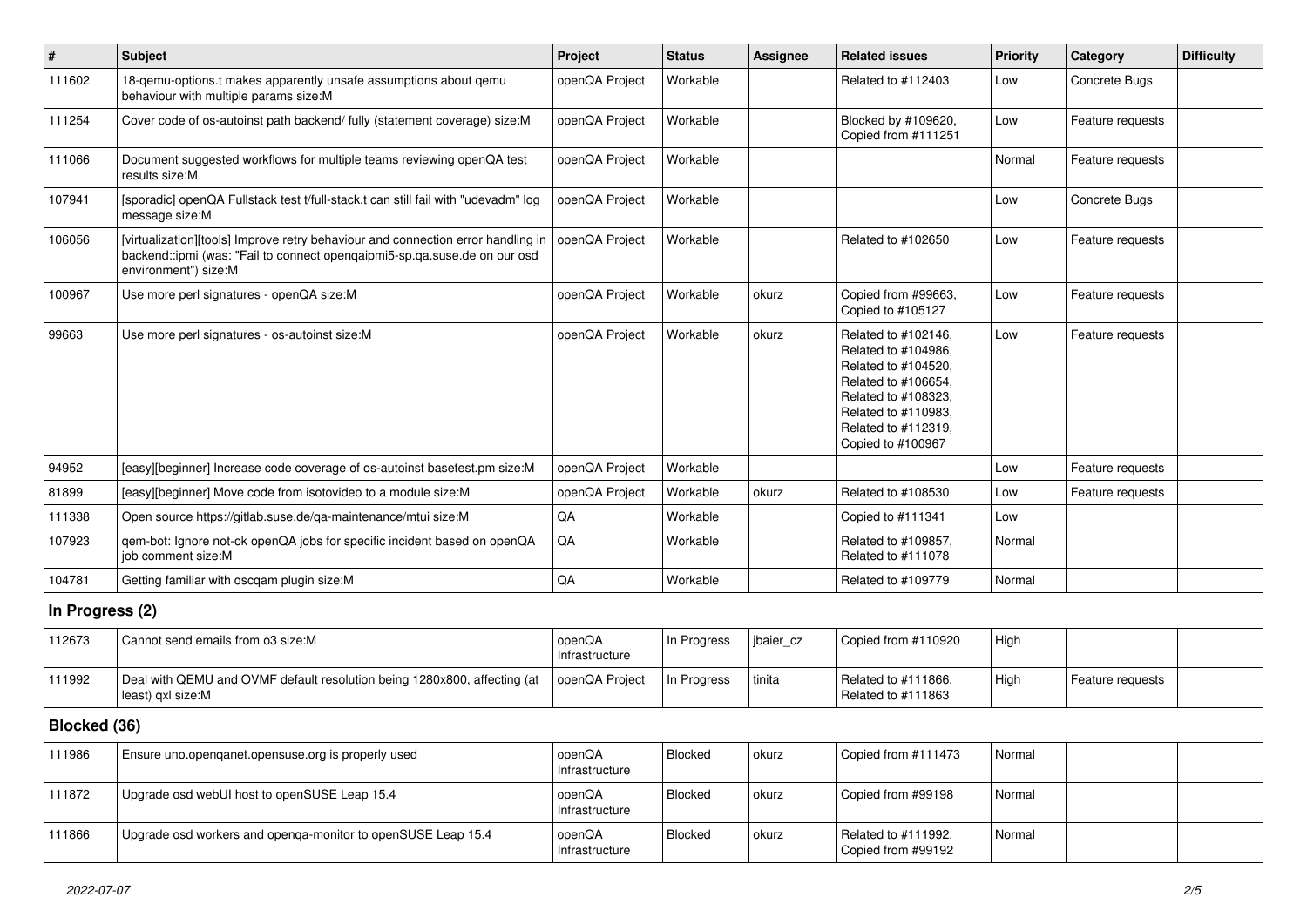| $\vert$ #       | <b>Subject</b>                                                                                                                                                                        | Project                  | <b>Status</b> | Assignee  | <b>Related issues</b>                                                                                                                                                              | <b>Priority</b> | Category         | <b>Difficulty</b> |
|-----------------|---------------------------------------------------------------------------------------------------------------------------------------------------------------------------------------|--------------------------|---------------|-----------|------------------------------------------------------------------------------------------------------------------------------------------------------------------------------------|-----------------|------------------|-------------------|
| 111602          | 18-gemu-options.t makes apparently unsafe assumptions about gemu<br>behaviour with multiple params size:M                                                                             | openQA Project           | Workable      |           | Related to #112403                                                                                                                                                                 | Low             | Concrete Bugs    |                   |
| 111254          | Cover code of os-autoinst path backend/ fully (statement coverage) size:M                                                                                                             | openQA Project           | Workable      |           | Blocked by #109620,<br>Copied from #111251                                                                                                                                         | Low             | Feature requests |                   |
| 111066          | Document suggested workflows for multiple teams reviewing openQA test<br>results size:M                                                                                               | openQA Project           | Workable      |           |                                                                                                                                                                                    | Normal          | Feature requests |                   |
| 107941          | [sporadic] openQA Fullstack test t/full-stack.t can still fail with "udevadm" log<br>message size:M                                                                                   | openQA Project           | Workable      |           |                                                                                                                                                                                    | Low             | Concrete Bugs    |                   |
| 106056          | [virtualization][tools] Improve retry behaviour and connection error handling in<br>backend::ipmi (was: "Fail to connect opengaipmi5-sp.ga.suse.de on our osd<br>environment") size:M | openQA Project           | Workable      |           | Related to #102650                                                                                                                                                                 | Low             | Feature requests |                   |
| 100967          | Use more perl signatures - openQA size:M                                                                                                                                              | openQA Project           | Workable      | okurz     | Copied from #99663,<br>Copied to #105127                                                                                                                                           | Low             | Feature requests |                   |
| 99663           | Use more perl signatures - os-autoinst size:M                                                                                                                                         | openQA Project           | Workable      | okurz     | Related to #102146,<br>Related to #104986,<br>Related to #104520,<br>Related to #106654,<br>Related to #108323,<br>Related to #110983,<br>Related to #112319,<br>Copied to #100967 | Low             | Feature requests |                   |
| 94952           | [easy][beginner] Increase code coverage of os-autoinst basetest.pm size:M                                                                                                             | openQA Project           | Workable      |           |                                                                                                                                                                                    | Low             | Feature requests |                   |
| 81899           | [easy][beginner] Move code from isotovideo to a module size:M                                                                                                                         | openQA Project           | Workable      | okurz     | Related to #108530                                                                                                                                                                 | Low             | Feature requests |                   |
| 111338          | Open source https://gitlab.suse.de/qa-maintenance/mtui size:M                                                                                                                         | QA                       | Workable      |           | Copied to #111341                                                                                                                                                                  | Low             |                  |                   |
| 107923          | qem-bot: Ignore not-ok openQA jobs for specific incident based on openQA<br>job comment size:M                                                                                        | QA                       | Workable      |           | Related to #109857,<br>Related to #111078                                                                                                                                          | Normal          |                  |                   |
| 104781          | Getting familiar with oscqam plugin size:M                                                                                                                                            | QA                       | Workable      |           | Related to #109779                                                                                                                                                                 | Normal          |                  |                   |
| In Progress (2) |                                                                                                                                                                                       |                          |               |           |                                                                                                                                                                                    |                 |                  |                   |
| 112673          | Cannot send emails from o3 size:M                                                                                                                                                     | openQA<br>Infrastructure | In Progress   | jbaier_cz | Copied from #110920                                                                                                                                                                | High            |                  |                   |
| 111992          | Deal with QEMU and OVMF default resolution being 1280x800, affecting (at<br>least) qxl size:M                                                                                         | openQA Project           | In Progress   | tinita    | Related to #111866,<br>Related to #111863                                                                                                                                          | High            | Feature requests |                   |
| Blocked (36)    |                                                                                                                                                                                       |                          |               |           |                                                                                                                                                                                    |                 |                  |                   |
| 111986          | Ensure uno openganet opensuse org is properly used                                                                                                                                    | openQA<br>Infrastructure | Blocked       | okurz     | Copied from #111473                                                                                                                                                                | Normal          |                  |                   |
| 111872          | Upgrade osd webUI host to openSUSE Leap 15.4                                                                                                                                          | openQA<br>Infrastructure | Blocked       | okurz     | Copied from #99198                                                                                                                                                                 | Normal          |                  |                   |
| 111866          | Upgrade osd workers and openga-monitor to openSUSE Leap 15.4                                                                                                                          | openQA<br>Infrastructure | Blocked       | okurz     | Related to #111992,<br>Copied from #99192                                                                                                                                          | Normal          |                  |                   |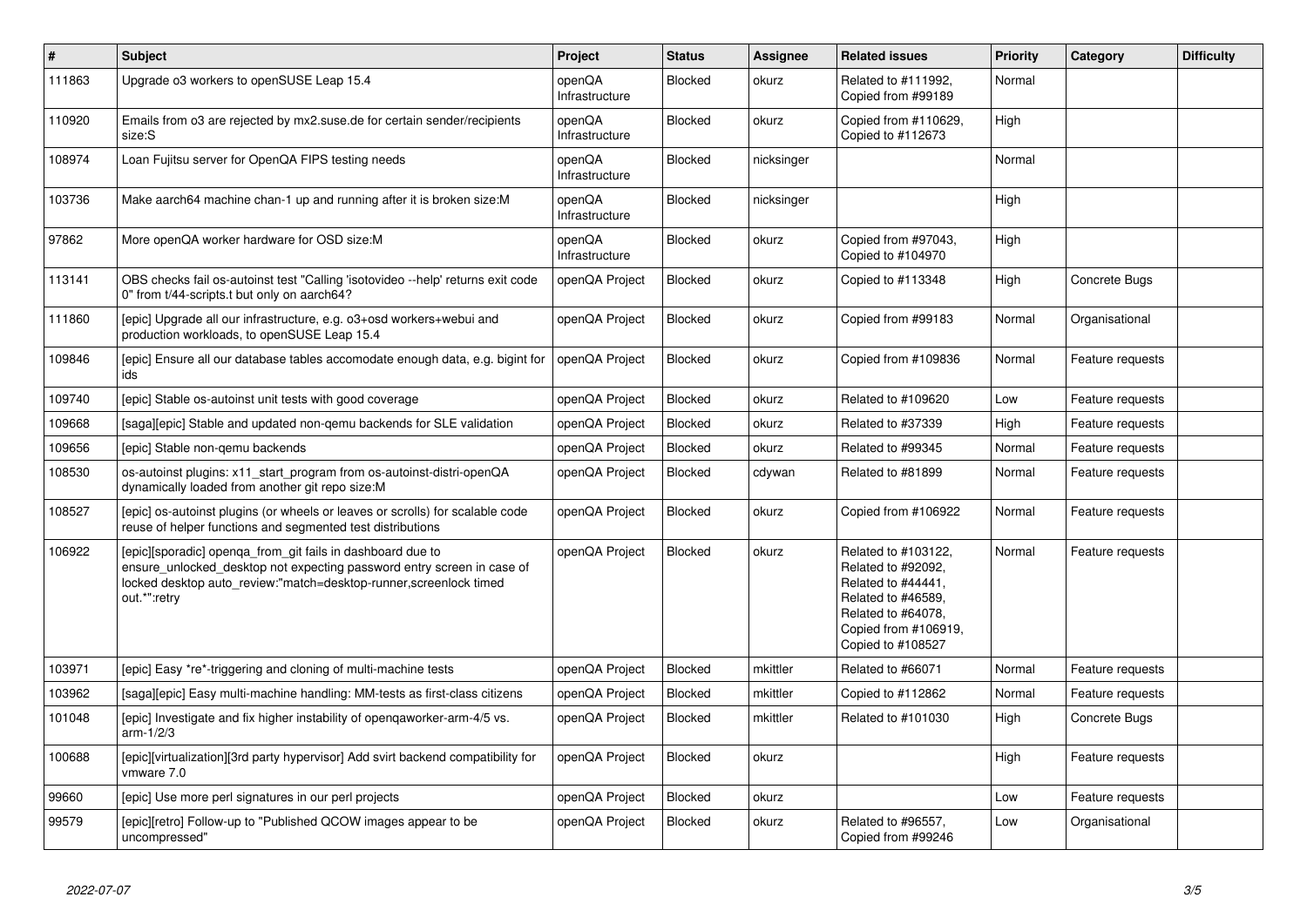| $\vert$ # | <b>Subject</b>                                                                                                                                                                                                             | Project                  | <b>Status</b>  | <b>Assignee</b> | <b>Related issues</b>                                                                                                                                    | <b>Priority</b> | Category         | <b>Difficulty</b> |
|-----------|----------------------------------------------------------------------------------------------------------------------------------------------------------------------------------------------------------------------------|--------------------------|----------------|-----------------|----------------------------------------------------------------------------------------------------------------------------------------------------------|-----------------|------------------|-------------------|
| 111863    | Upgrade o3 workers to openSUSE Leap 15.4                                                                                                                                                                                   | openQA<br>Infrastructure | Blocked        | okurz           | Related to #111992,<br>Copied from #99189                                                                                                                | Normal          |                  |                   |
| 110920    | Emails from o3 are rejected by mx2.suse.de for certain sender/recipients<br>size:S                                                                                                                                         | openQA<br>Infrastructure | <b>Blocked</b> | okurz           | Copied from #110629,<br>Copied to #112673                                                                                                                | High            |                  |                   |
| 108974    | Loan Fujitsu server for OpenQA FIPS testing needs                                                                                                                                                                          | openQA<br>Infrastructure | Blocked        | nicksinger      |                                                                                                                                                          | Normal          |                  |                   |
| 103736    | Make aarch64 machine chan-1 up and running after it is broken size:M                                                                                                                                                       | openQA<br>Infrastructure | Blocked        | nicksinger      |                                                                                                                                                          | High            |                  |                   |
| 97862     | More openQA worker hardware for OSD size:M                                                                                                                                                                                 | openQA<br>Infrastructure | <b>Blocked</b> | okurz           | Copied from #97043.<br>Copied to #104970                                                                                                                 | High            |                  |                   |
| 113141    | OBS checks fail os-autoinst test "Calling 'isotovideo --help' returns exit code<br>0" from t/44-scripts.t but only on aarch64?                                                                                             | openQA Project           | <b>Blocked</b> | okurz           | Copied to #113348                                                                                                                                        | High            | Concrete Bugs    |                   |
| 111860    | [epic] Upgrade all our infrastructure, e.g. o3+osd workers+webui and<br>production workloads, to openSUSE Leap 15.4                                                                                                        | openQA Project           | Blocked        | okurz           | Copied from #99183                                                                                                                                       | Normal          | Organisational   |                   |
| 109846    | [epic] Ensure all our database tables accomodate enough data, e.g. bigint for<br>ids                                                                                                                                       | openQA Project           | Blocked        | okurz           | Copied from #109836                                                                                                                                      | Normal          | Feature requests |                   |
| 109740    | [epic] Stable os-autoinst unit tests with good coverage                                                                                                                                                                    | openQA Project           | Blocked        | okurz           | Related to #109620                                                                                                                                       | Low             | Feature requests |                   |
| 109668    | [saga][epic] Stable and updated non-qemu backends for SLE validation                                                                                                                                                       | openQA Project           | <b>Blocked</b> | okurz           | Related to #37339                                                                                                                                        | High            | Feature requests |                   |
| 109656    | [epic] Stable non-gemu backends                                                                                                                                                                                            | openQA Project           | <b>Blocked</b> | okurz           | Related to #99345                                                                                                                                        | Normal          | Feature requests |                   |
| 108530    | os-autoinst plugins: x11 start program from os-autoinst-distri-openQA<br>dynamically loaded from another git repo size:M                                                                                                   | openQA Project           | <b>Blocked</b> | cdywan          | Related to #81899                                                                                                                                        | Normal          | Feature requests |                   |
| 108527    | [epic] os-autoinst plugins (or wheels or leaves or scrolls) for scalable code<br>reuse of helper functions and segmented test distributions                                                                                | openQA Project           | <b>Blocked</b> | okurz           | Copied from #106922                                                                                                                                      | Normal          | Feature requests |                   |
| 106922    | [epic][sporadic] openqa_from_git fails in dashboard due to<br>ensure unlocked desktop not expecting password entry screen in case of<br>locked desktop auto_review:"match=desktop-runner, screenlock timed<br>out.*":retry | openQA Project           | Blocked        | okurz           | Related to #103122,<br>Related to #92092,<br>Related to #44441,<br>Related to #46589,<br>Related to #64078.<br>Copied from #106919,<br>Copied to #108527 | Normal          | Feature requests |                   |
| 103971    | [epic] Easy *re*-triggering and cloning of multi-machine tests                                                                                                                                                             | openQA Project           | Blocked        | mkittler        | Related to #66071                                                                                                                                        | Normal          | Feature requests |                   |
| 103962    | [saga][epic] Easy multi-machine handling: MM-tests as first-class citizens                                                                                                                                                 | openQA Project           | Blocked        | mkittler        | Copied to #112862                                                                                                                                        | Normal          | Feature requests |                   |
| 101048    | [epic] Investigate and fix higher instability of opengaworker-arm-4/5 vs.<br>arm-1/2/3                                                                                                                                     | openQA Project           | Blocked        | mkittler        | Related to #101030                                                                                                                                       | High            | Concrete Bugs    |                   |
| 100688    | [epic][virtualization][3rd party hypervisor] Add svirt backend compatibility for<br>vmware 7.0                                                                                                                             | openQA Project           | Blocked        | okurz           |                                                                                                                                                          | High            | Feature requests |                   |
| 99660     | [epic] Use more perl signatures in our perl projects                                                                                                                                                                       | openQA Project           | Blocked        | okurz           |                                                                                                                                                          | Low             | Feature requests |                   |
| 99579     | [epic][retro] Follow-up to "Published QCOW images appear to be<br>uncompressed"                                                                                                                                            | openQA Project           | <b>Blocked</b> | okurz           | Related to #96557.<br>Copied from #99246                                                                                                                 | Low             | Organisational   |                   |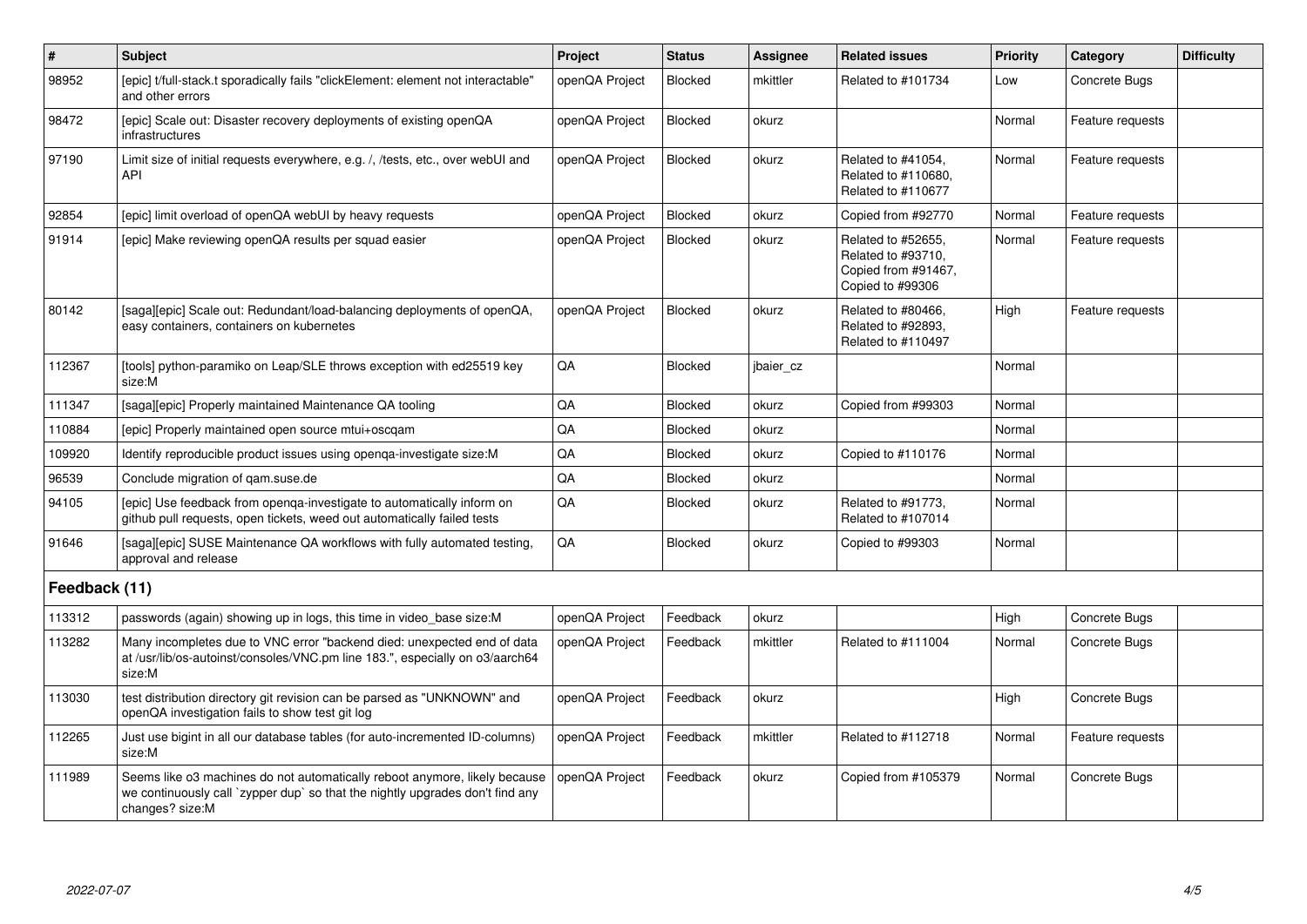| #             | <b>Subject</b>                                                                                                                                                                 | Project        | <b>Status</b>  | <b>Assignee</b> | <b>Related issues</b>                                                               | Priority | Category         | <b>Difficulty</b> |
|---------------|--------------------------------------------------------------------------------------------------------------------------------------------------------------------------------|----------------|----------------|-----------------|-------------------------------------------------------------------------------------|----------|------------------|-------------------|
| 98952         | [epic] t/full-stack.t sporadically fails "clickElement: element not interactable"<br>and other errors                                                                          | openQA Project | <b>Blocked</b> | mkittler        | Related to #101734                                                                  | Low      | Concrete Bugs    |                   |
| 98472         | [epic] Scale out: Disaster recovery deployments of existing openQA<br>infrastructures                                                                                          | openQA Project | Blocked        | okurz           |                                                                                     | Normal   | Feature requests |                   |
| 97190         | Limit size of initial requests everywhere, e.g. /, /tests, etc., over webUI and<br>API                                                                                         | openQA Project | Blocked        | okurz           | Related to #41054,<br>Related to #110680.<br>Related to #110677                     | Normal   | Feature requests |                   |
| 92854         | [epic] limit overload of openQA webUI by heavy requests                                                                                                                        | openQA Project | Blocked        | okurz           | Copied from #92770                                                                  | Normal   | Feature requests |                   |
| 91914         | [epic] Make reviewing openQA results per squad easier                                                                                                                          | openQA Project | Blocked        | okurz           | Related to #52655,<br>Related to #93710,<br>Copied from #91467,<br>Copied to #99306 | Normal   | Feature requests |                   |
| 80142         | [saga][epic] Scale out: Redundant/load-balancing deployments of openQA,<br>easy containers, containers on kubernetes                                                           | openQA Project | <b>Blocked</b> | okurz           | Related to #80466,<br>Related to #92893,<br>Related to #110497                      | High     | Feature requests |                   |
| 112367        | [tools] python-paramiko on Leap/SLE throws exception with ed25519 key<br>size:M                                                                                                | QA             | Blocked        | jbaier_cz       |                                                                                     | Normal   |                  |                   |
| 111347        | [saga][epic] Properly maintained Maintenance QA tooling                                                                                                                        | QA             | Blocked        | okurz           | Copied from #99303                                                                  | Normal   |                  |                   |
| 110884        | [epic] Properly maintained open source mtui+oscgam                                                                                                                             | QA             | <b>Blocked</b> | okurz           |                                                                                     | Normal   |                  |                   |
| 109920        | Identify reproducible product issues using openga-investigate size:M                                                                                                           | QA             | Blocked        | okurz           | Copied to #110176                                                                   | Normal   |                  |                   |
| 96539         | Conclude migration of gam.suse.de                                                                                                                                              | QA             | Blocked        | okurz           |                                                                                     | Normal   |                  |                   |
| 94105         | [epic] Use feedback from openqa-investigate to automatically inform on<br>github pull requests, open tickets, weed out automatically failed tests                              | QA             | Blocked        | okurz           | Related to #91773.<br>Related to #107014                                            | Normal   |                  |                   |
| 91646         | [saga][epic] SUSE Maintenance QA workflows with fully automated testing,<br>approval and release                                                                               | QA             | Blocked        | okurz           | Copied to #99303                                                                    | Normal   |                  |                   |
| Feedback (11) |                                                                                                                                                                                |                |                |                 |                                                                                     |          |                  |                   |
| 113312        | passwords (again) showing up in logs, this time in video base size: M                                                                                                          | openQA Project | Feedback       | okurz           |                                                                                     | High     | Concrete Bugs    |                   |
| 113282        | Many incompletes due to VNC error "backend died: unexpected end of data<br>at /usr/lib/os-autoinst/consoles/VNC.pm line 183.", especially on o3/aarch64<br>size:M              | openQA Project | Feedback       | mkittler        | Related to #111004                                                                  | Normal   | Concrete Bugs    |                   |
| 113030        | test distribution directory git revision can be parsed as "UNKNOWN" and<br>openQA investigation fails to show test git log                                                     | openQA Project | Feedback       | okurz           |                                                                                     | High     | Concrete Bugs    |                   |
| 112265        | Just use bigint in all our database tables (for auto-incremented ID-columns)<br>size:M                                                                                         | openQA Project | Feedback       | mkittler        | Related to #112718                                                                  | Normal   | Feature requests |                   |
| 111989        | Seems like o3 machines do not automatically reboot anymore, likely because<br>we continuously call `zypper dup` so that the nightly upgrades don't find any<br>changes? size:M | openQA Project | Feedback       | okurz           | Copied from #105379                                                                 | Normal   | Concrete Bugs    |                   |